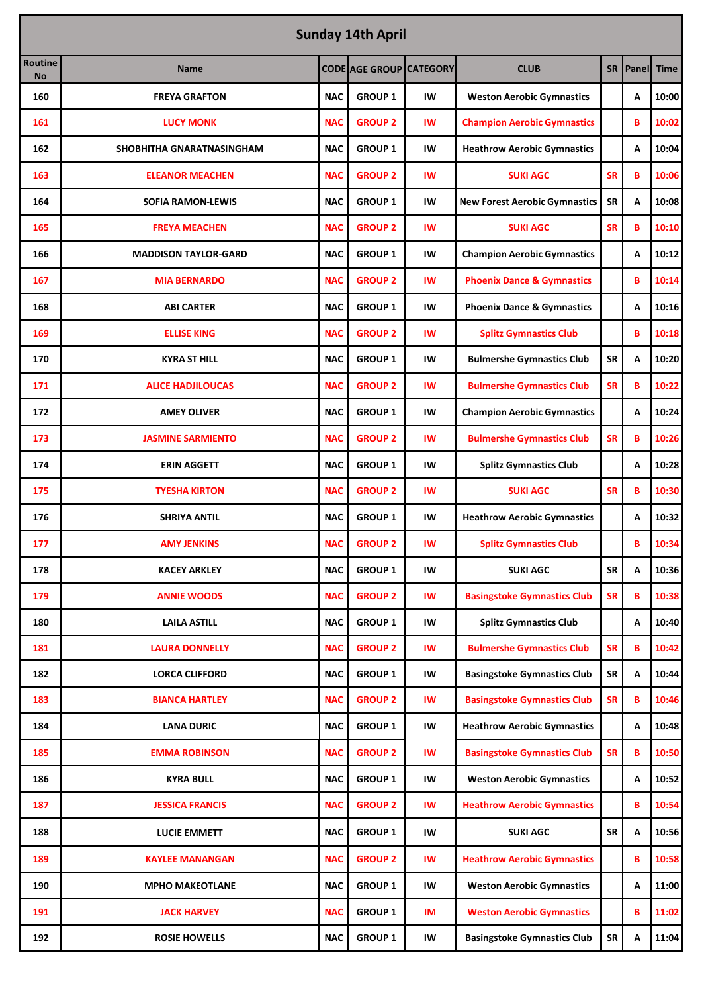| <b>Sunday 14th April</b> |                             |            |                                |           |                                       |           |       |             |  |
|--------------------------|-----------------------------|------------|--------------------------------|-----------|---------------------------------------|-----------|-------|-------------|--|
| Routine<br><b>No</b>     | <b>Name</b>                 |            | <b>CODE AGE GROUP CATEGORY</b> |           | <b>CLUB</b>                           | SR I      | Panel | <b>Time</b> |  |
| 160                      | <b>FREYA GRAFTON</b>        | <b>NAC</b> | <b>GROUP 1</b>                 | IW        | <b>Weston Aerobic Gymnastics</b>      |           | A     | 10:00       |  |
| 161                      | <b>LUCY MONK</b>            | <b>NAC</b> | <b>GROUP 2</b>                 | IW        | <b>Champion Aerobic Gymnastics</b>    |           | B     | 10:02       |  |
| 162                      | SHOBHITHA GNARATNASINGHAM   | <b>NAC</b> | <b>GROUP 1</b>                 | IW        | <b>Heathrow Aerobic Gymnastics</b>    |           | A     | 10:04       |  |
| 163                      | <b>ELEANOR MEACHEN</b>      | <b>NAC</b> | <b>GROUP 2</b>                 | <b>IW</b> | <b>SUKI AGC</b>                       | <b>SR</b> | B     | 10:06       |  |
| 164                      | <b>SOFIA RAMON-LEWIS</b>    | <b>NAC</b> | <b>GROUP 1</b>                 | IW        | <b>New Forest Aerobic Gymnastics</b>  | <b>SR</b> | Α     | 10:08       |  |
| 165                      | <b>FREYA MEACHEN</b>        | <b>NAC</b> | <b>GROUP 2</b>                 | <b>IW</b> | <b>SUKI AGC</b>                       | <b>SR</b> | B     | 10:10       |  |
| 166                      | <b>MADDISON TAYLOR-GARD</b> | <b>NAC</b> | <b>GROUP 1</b>                 | IW        | <b>Champion Aerobic Gymnastics</b>    |           | A     | 10:12       |  |
| 167                      | <b>MIA BERNARDO</b>         | <b>NAC</b> | <b>GROUP 2</b>                 | <b>IW</b> | <b>Phoenix Dance &amp; Gymnastics</b> |           | B     | 10:14       |  |
| 168                      | <b>ABI CARTER</b>           | <b>NAC</b> | <b>GROUP 1</b>                 | IW        | <b>Phoenix Dance &amp; Gymnastics</b> |           | A     | 10:16       |  |
| 169                      | <b>ELLISE KING</b>          | <b>NAC</b> | <b>GROUP 2</b>                 | IW        | <b>Splitz Gymnastics Club</b>         |           | в     | 10:18       |  |
| 170                      | <b>KYRA ST HILL</b>         | <b>NAC</b> | <b>GROUP 1</b>                 | IW        | <b>Bulmershe Gymnastics Club</b>      | <b>SR</b> | A     | 10:20       |  |
| 171                      | <b>ALICE HADJILOUCAS</b>    | <b>NAC</b> | <b>GROUP 2</b>                 | <b>IW</b> | <b>Bulmershe Gymnastics Club</b>      | <b>SR</b> | B     | 10:22       |  |
| 172                      | <b>AMEY OLIVER</b>          | <b>NAC</b> | <b>GROUP 1</b>                 | IW        | <b>Champion Aerobic Gymnastics</b>    |           | A     | 10:24       |  |
| 173                      | <b>JASMINE SARMIENTO</b>    | <b>NAC</b> | <b>GROUP 2</b>                 | <b>IW</b> | <b>Bulmershe Gymnastics Club</b>      | <b>SR</b> | в     | 10:26       |  |
| 174                      | <b>ERIN AGGETT</b>          | <b>NAC</b> | <b>GROUP 1</b>                 | IW        | <b>Splitz Gymnastics Club</b>         |           | A     | 10:28       |  |
| 175                      | <b>TYESHA KIRTON</b>        | <b>NAC</b> | <b>GROUP 2</b>                 | IW        | <b>SUKI AGC</b>                       | <b>SR</b> | B     | 10:30       |  |
| 176                      | <b>SHRIYA ANTIL</b>         | <b>NAC</b> | <b>GROUP 1</b>                 | IW        | <b>Heathrow Aerobic Gymnastics</b>    |           | A     | 10:32       |  |
| 177                      | <b>AMY JENKINS</b>          | <b>NAC</b> | <b>GROUP 2</b>                 | <b>IW</b> | <b>Splitz Gymnastics Club</b>         |           | B     | 10:34       |  |
| 178                      | <b>KACEY ARKLEY</b>         | <b>NAC</b> | <b>GROUP 1</b>                 | IW        | <b>SUKI AGC</b>                       | <b>SR</b> | Α     | 10:36       |  |
| 179                      | <b>ANNIE WOODS</b>          | <b>NAC</b> | <b>GROUP 2</b>                 | IW        | <b>Basingstoke Gymnastics Club</b>    | <b>SR</b> | B     | 10:38       |  |
| 180                      | <b>LAILA ASTILL</b>         | <b>NAC</b> | <b>GROUP 1</b>                 | IW        | <b>Splitz Gymnastics Club</b>         |           | A     | 10:40       |  |
| 181                      | <b>LAURA DONNELLY</b>       | <b>NAC</b> | <b>GROUP 2</b>                 | IW        | <b>Bulmershe Gymnastics Club</b>      | <b>SR</b> | B     | 10:42       |  |
| 182                      | <b>LORCA CLIFFORD</b>       | <b>NAC</b> | <b>GROUP 1</b>                 | IW        | <b>Basingstoke Gymnastics Club</b>    | SR        | Α     | 10:44       |  |
| 183                      | <b>BIANCA HARTLEY</b>       | <b>NAC</b> | <b>GROUP 2</b>                 | <b>IW</b> | <b>Basingstoke Gymnastics Club</b>    | <b>SR</b> | в     | 10:46       |  |
| 184                      | <b>LANA DURIC</b>           | <b>NAC</b> | <b>GROUP 1</b>                 | IW        | <b>Heathrow Aerobic Gymnastics</b>    |           | A     | 10:48       |  |
| 185                      | <b>EMMA ROBINSON</b>        | <b>NAC</b> | <b>GROUP 2</b>                 | IW        | <b>Basingstoke Gymnastics Club</b>    | <b>SR</b> | В     | 10:50       |  |
| 186                      | <b>KYRA BULL</b>            | <b>NAC</b> | <b>GROUP 1</b>                 | IW        | <b>Weston Aerobic Gymnastics</b>      |           | Α     | 10:52       |  |
| 187                      | <b>JESSICA FRANCIS</b>      | <b>NAC</b> | <b>GROUP 2</b>                 | IW        | <b>Heathrow Aerobic Gymnastics</b>    |           | В     | 10:54       |  |
| 188                      | <b>LUCIE EMMETT</b>         | <b>NAC</b> | <b>GROUP 1</b>                 | IW        | <b>SUKI AGC</b>                       | <b>SR</b> | Α     | 10:56       |  |
| 189                      | KAYLEE MANANGAN             | <b>NAC</b> | <b>GROUP 2</b>                 | <b>IW</b> | <b>Heathrow Aerobic Gymnastics</b>    |           | B     | 10:58       |  |
| 190                      | <b>MPHO MAKEOTLANE</b>      | <b>NAC</b> | <b>GROUP 1</b>                 | IW        | <b>Weston Aerobic Gymnastics</b>      |           | Α     | 11:00       |  |
| 191                      | <b>JACK HARVEY</b>          | <b>NAC</b> | <b>GROUP 1</b>                 | IM        | <b>Weston Aerobic Gymnastics</b>      |           | B     | 11:02       |  |
| 192                      | <b>ROSIE HOWELLS</b>        | <b>NAC</b> | <b>GROUP 1</b>                 | IW        | <b>Basingstoke Gymnastics Club</b>    | <b>SR</b> | Α     | 11:04       |  |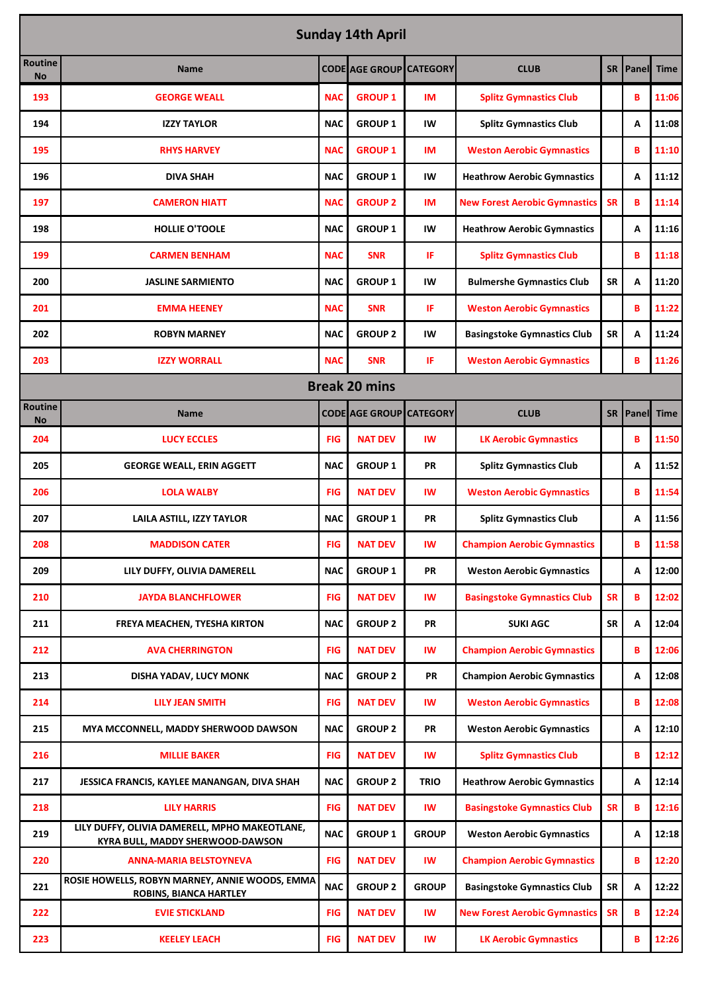| <b>Sunday 14th April</b>    |                                                                                          |            |                                |              |                                      |           |            |             |  |
|-----------------------------|------------------------------------------------------------------------------------------|------------|--------------------------------|--------------|--------------------------------------|-----------|------------|-------------|--|
| Routine<br><b>No</b>        | <b>Name</b>                                                                              |            | <b>CODE AGE GROUP CATEGORY</b> |              | <b>CLUB</b>                          | SR I      | Panel      | <b>Time</b> |  |
| 193                         | <b>GEORGE WEALL</b>                                                                      | <b>NAC</b> | <b>GROUP 1</b>                 | IM           | <b>Splitz Gymnastics Club</b>        |           | B          | 11:06       |  |
| 194                         | <b>IZZY TAYLOR</b>                                                                       | <b>NAC</b> | <b>GROUP 1</b>                 | IW           | <b>Splitz Gymnastics Club</b>        |           | A          | 11:08       |  |
| 195                         | <b>RHYS HARVEY</b>                                                                       | <b>NAC</b> | <b>GROUP 1</b>                 | IM           | <b>Weston Aerobic Gymnastics</b>     |           | B          | 11:10       |  |
| 196                         | <b>DIVA SHAH</b>                                                                         | <b>NAC</b> | <b>GROUP 1</b>                 | IW           | <b>Heathrow Aerobic Gymnastics</b>   |           | A          | 11:12       |  |
| 197                         | <b>CAMERON HIATT</b>                                                                     | <b>NAC</b> | <b>GROUP 2</b>                 | IM           | <b>New Forest Aerobic Gymnastics</b> | <b>SR</b> | B          | 11:14       |  |
| 198                         | <b>HOLLIE O'TOOLE</b>                                                                    | <b>NAC</b> | <b>GROUP 1</b>                 | IW           | <b>Heathrow Aerobic Gymnastics</b>   |           | A          | 11:16       |  |
| 199                         | <b>CARMEN BENHAM</b>                                                                     | <b>NAC</b> | <b>SNR</b>                     | IF           | <b>Splitz Gymnastics Club</b>        |           | B          | 11:18       |  |
| 200                         | <b>JASLINE SARMIENTO</b>                                                                 | <b>NAC</b> | <b>GROUP 1</b>                 | IW           | <b>Bulmershe Gymnastics Club</b>     | <b>SR</b> | A          | 11:20       |  |
| 201                         | <b>EMMA HEENEY</b>                                                                       | <b>NAC</b> | <b>SNR</b>                     | IF           | <b>Weston Aerobic Gymnastics</b>     |           | B          | 11:22       |  |
| 202                         | <b>ROBYN MARNEY</b>                                                                      | <b>NAC</b> | <b>GROUP 2</b>                 | IW           | <b>Basingstoke Gymnastics Club</b>   | <b>SR</b> | A          | 11:24       |  |
| 203                         | <b>IZZY WORRALL</b>                                                                      | <b>NAC</b> | <b>SNR</b>                     | IF           | <b>Weston Aerobic Gymnastics</b>     |           | B          | 11:26       |  |
| <b>Break 20 mins</b>        |                                                                                          |            |                                |              |                                      |           |            |             |  |
| <b>Routine</b><br><b>No</b> | <b>Name</b>                                                                              |            | <b>CODE AGE GROUP CATEGORY</b> |              | <b>CLUB</b>                          |           | SR   Panel | <b>Time</b> |  |
| 204                         | <b>LUCY ECCLES</b>                                                                       | <b>FIG</b> | <b>NAT DEV</b>                 | IW           | <b>LK Aerobic Gymnastics</b>         |           | B          | 11:50       |  |
| 205                         | <b>GEORGE WEALL, ERIN AGGETT</b>                                                         | <b>NAC</b> | <b>GROUP 1</b>                 | <b>PR</b>    | <b>Splitz Gymnastics Club</b>        |           | A          | 11:52       |  |
| 206                         | <b>LOLA WALBY</b>                                                                        | <b>FIG</b> | <b>NAT DEV</b>                 | IW           | <b>Weston Aerobic Gymnastics</b>     |           | B          | 11:54       |  |
| 207                         | <b>LAILA ASTILL, IZZY TAYLOR</b>                                                         | <b>NAC</b> | <b>GROUP 1</b>                 | <b>PR</b>    | <b>Splitz Gymnastics Club</b>        |           | A          | 11:56       |  |
| 208                         | <b>MADDISON CATER</b>                                                                    | <b>FIG</b> | <b>NAT DEV</b>                 | IW           | <b>Champion Aerobic Gymnastics</b>   |           | B          | 11:58       |  |
| 209                         | LILY DUFFY, OLIVIA DAMERELL                                                              | <b>NAC</b> | <b>GROUP 1</b>                 | PR           | <b>Weston Aerobic Gymnastics</b>     |           | A          | 12:00       |  |
| 210                         | <b>JAYDA BLANCHFLOWER</b>                                                                | <b>FIG</b> | <b>NAT DEV</b>                 | IW           | <b>Basingstoke Gymnastics Club</b>   | <b>SR</b> | B          | 12:02       |  |
| 211                         | FREYA MEACHEN, TYESHA KIRTON                                                             | <b>NAC</b> | <b>GROUP 2</b>                 | PR           | <b>SUKI AGC</b>                      | SR        | А          | 12:04       |  |
| 212                         | <b>AVA CHERRINGTON</b>                                                                   | <b>FIG</b> | <b>NAT DEV</b>                 | IW           | <b>Champion Aerobic Gymnastics</b>   |           | B          | 12:06       |  |
| 213                         | DISHA YADAV, LUCY MONK                                                                   | <b>NAC</b> | <b>GROUP 2</b>                 | PR           | <b>Champion Aerobic Gymnastics</b>   |           | Α          | 12:08       |  |
| 214                         | <b>LILY JEAN SMITH</b>                                                                   | <b>FIG</b> | <b>NAT DEV</b>                 | IW           | <b>Weston Aerobic Gymnastics</b>     |           | B          | 12:08       |  |
| 215                         | MYA MCCONNELL, MADDY SHERWOOD DAWSON                                                     | <b>NAC</b> | <b>GROUP 2</b>                 | PR           | <b>Weston Aerobic Gymnastics</b>     |           | Α          | 12:10       |  |
| 216                         | <b>MILLIE BAKER</b>                                                                      | <b>FIG</b> | <b>NAT DEV</b>                 | IW           | <b>Splitz Gymnastics Club</b>        |           | B          | 12:12       |  |
| 217                         | JESSICA FRANCIS, KAYLEE MANANGAN, DIVA SHAH                                              | <b>NAC</b> | <b>GROUP 2</b>                 | <b>TRIO</b>  | <b>Heathrow Aerobic Gymnastics</b>   |           | А          | 12:14       |  |
| 218                         | <b>LILY HARRIS</b>                                                                       | <b>FIG</b> | <b>NAT DEV</b>                 | IW           | <b>Basingstoke Gymnastics Club</b>   | <b>SR</b> | B          | 12:16       |  |
| 219                         | LILY DUFFY, OLIVIA DAMERELL, MPHO MAKEOTLANE,<br><b>KYRA BULL, MADDY SHERWOOD-DAWSON</b> | <b>NAC</b> | <b>GROUP 1</b>                 | <b>GROUP</b> | <b>Weston Aerobic Gymnastics</b>     |           | А          | 12:18       |  |
| 220                         | <b>ANNA-MARIA BELSTOYNEVA</b>                                                            | <b>FIG</b> | <b>NAT DEV</b>                 | IW           | <b>Champion Aerobic Gymnastics</b>   |           | B          | 12:20       |  |
| 221                         | ROSIE HOWELLS, ROBYN MARNEY, ANNIE WOODS, EMMA<br><b>ROBINS, BIANCA HARTLEY</b>          | <b>NAC</b> | <b>GROUP 2</b>                 | <b>GROUP</b> | <b>Basingstoke Gymnastics Club</b>   | <b>SR</b> | Α          | 12:22       |  |
| 222                         | <b>EVIE STICKLAND</b>                                                                    | <b>FIG</b> | <b>NAT DEV</b>                 | IW           | <b>New Forest Aerobic Gymnastics</b> | <b>SR</b> | B          | 12:24       |  |
| 223                         | <b>KEELEY LEACH</b>                                                                      | <b>FIG</b> | <b>NAT DEV</b>                 | IW           | <b>LK Aerobic Gymnastics</b>         |           | В          | 12:26       |  |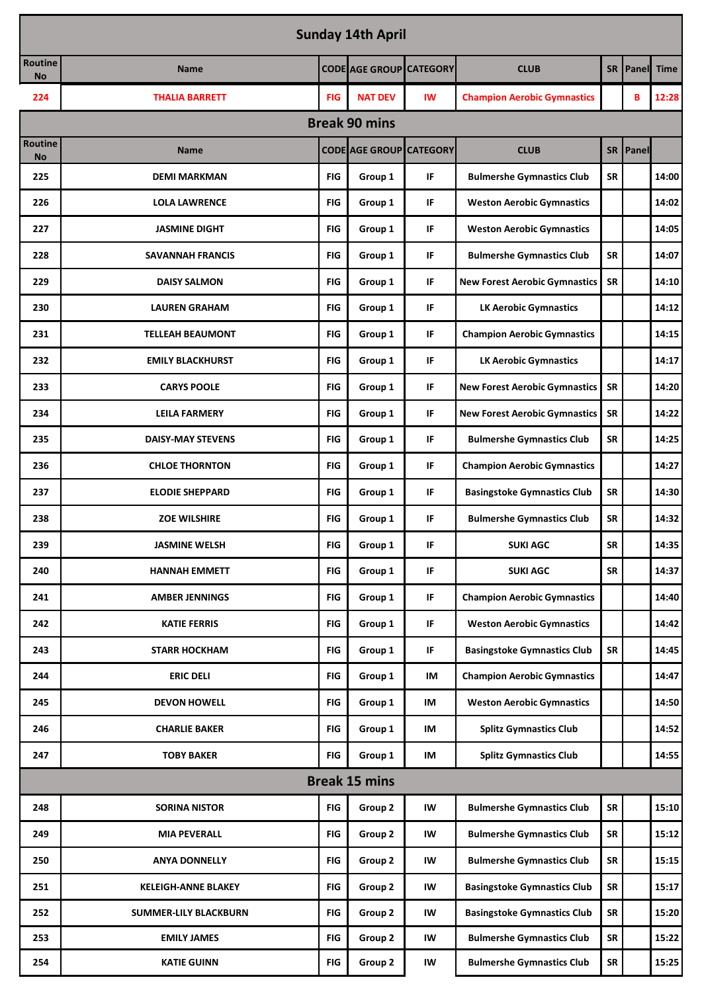| <b>Sunday 14th April</b> |                              |            |                                |           |                                      |           |                 |             |  |
|--------------------------|------------------------------|------------|--------------------------------|-----------|--------------------------------------|-----------|-----------------|-------------|--|
| Routine<br><b>No</b>     | <b>Name</b>                  |            | <b>CODE AGE GROUP CATEGORY</b> |           | <b>CLUB</b>                          | <b>SR</b> | Panel           | <b>Time</b> |  |
| 224                      | <b>THALIA BARRETT</b>        | FIG        | <b>NAT DEV</b>                 | <b>IW</b> | <b>Champion Aerobic Gymnastics</b>   |           | B               | 12:28       |  |
|                          |                              |            | <b>Break 90 mins</b>           |           |                                      |           |                 |             |  |
| Routine<br><b>No</b>     | <b>Name</b>                  |            | <b>CODE AGE GROUP CATEGORY</b> |           | <b>CLUB</b>                          |           | <b>SR Panel</b> |             |  |
| 225                      | <b>DEMI MARKMAN</b>          | FIG        | Group 1                        | IF        | <b>Bulmershe Gymnastics Club</b>     | <b>SR</b> |                 | 14:00       |  |
| 226                      | <b>LOLA LAWRENCE</b>         | <b>FIG</b> | Group 1                        | IF        | <b>Weston Aerobic Gymnastics</b>     |           |                 | 14:02       |  |
| 227                      | <b>JASMINE DIGHT</b>         | <b>FIG</b> | Group 1                        | IF        | <b>Weston Aerobic Gymnastics</b>     |           |                 | 14:05       |  |
| 228                      | <b>SAVANNAH FRANCIS</b>      | <b>FIG</b> | Group 1                        | IF        | <b>Bulmershe Gymnastics Club</b>     | <b>SR</b> |                 | 14:07       |  |
| 229                      | <b>DAISY SALMON</b>          | <b>FIG</b> | Group 1                        | IF        | <b>New Forest Aerobic Gymnastics</b> | <b>SR</b> |                 | 14:10       |  |
| 230                      | <b>LAUREN GRAHAM</b>         | <b>FIG</b> | Group 1                        | IF        | <b>LK Aerobic Gymnastics</b>         |           |                 | 14:12       |  |
| 231                      | <b>TELLEAH BEAUMONT</b>      | <b>FIG</b> | Group 1                        | IF        | <b>Champion Aerobic Gymnastics</b>   |           |                 | 14:15       |  |
| 232                      | <b>EMILY BLACKHURST</b>      | <b>FIG</b> | Group 1                        | IF        | <b>LK Aerobic Gymnastics</b>         |           |                 | 14:17       |  |
| 233                      | <b>CARYS POOLE</b>           | <b>FIG</b> | Group 1                        | IF        | <b>New Forest Aerobic Gymnastics</b> | <b>SR</b> |                 | 14:20       |  |
| 234                      | <b>LEILA FARMERY</b>         | <b>FIG</b> | Group 1                        | IF        | <b>New Forest Aerobic Gymnastics</b> | SR        |                 | 14:22       |  |
| 235                      | <b>DAISY-MAY STEVENS</b>     | <b>FIG</b> | Group 1                        | IF        | <b>Bulmershe Gymnastics Club</b>     | <b>SR</b> |                 | 14:25       |  |
| 236                      | <b>CHLOE THORNTON</b>        | FIG        | Group 1                        | IF        | <b>Champion Aerobic Gymnastics</b>   |           |                 | 14:27       |  |
| 237                      | <b>ELODIE SHEPPARD</b>       | <b>FIG</b> | Group 1                        | IF        | <b>Basingstoke Gymnastics Club</b>   | SR        |                 | 14:30       |  |
| 238                      | <b>ZOE WILSHIRE</b>          | <b>FIG</b> | Group 1                        | IF        | <b>Bulmershe Gymnastics Club</b>     | <b>SR</b> |                 | 14:32       |  |
| 239                      | <b>JASMINE WELSH</b>         | <b>FIG</b> | Group 1                        | IF        | <b>SUKI AGC</b>                      | SR        |                 | 14:35       |  |
| 240                      | <b>HANNAH EMMETT</b>         | <b>FIG</b> | Group 1                        | IF        | <b>SUKI AGC</b>                      | <b>SR</b> |                 | 14:37       |  |
| 241                      | <b>AMBER JENNINGS</b>        | <b>FIG</b> | Group 1                        | IF        | <b>Champion Aerobic Gymnastics</b>   |           |                 | 14:40       |  |
| 242                      | <b>KATIE FERRIS</b>          | <b>FIG</b> | Group 1                        | IF        | <b>Weston Aerobic Gymnastics</b>     |           |                 | 14:42       |  |
| 243                      | <b>STARR HOCKHAM</b>         | FIG        | Group 1                        | IF        | <b>Basingstoke Gymnastics Club</b>   | <b>SR</b> |                 | 14:45       |  |
| 244                      | <b>ERIC DELI</b>             | FIG        | Group 1                        | IM        | <b>Champion Aerobic Gymnastics</b>   |           |                 | 14:47       |  |
| 245                      | <b>DEVON HOWELL</b>          | <b>FIG</b> | Group 1                        | IM        | <b>Weston Aerobic Gymnastics</b>     |           |                 | 14:50       |  |
| 246                      | <b>CHARLIE BAKER</b>         | <b>FIG</b> | Group 1                        | IM        | <b>Splitz Gymnastics Club</b>        |           |                 | 14:52       |  |
| 247                      | <b>TOBY BAKER</b>            | <b>FIG</b> | Group 1                        | IM        | <b>Splitz Gymnastics Club</b>        |           |                 | 14:55       |  |
|                          |                              |            | <b>Break 15 mins</b>           |           |                                      |           |                 |             |  |
| 248                      | <b>SORINA NISTOR</b>         | <b>FIG</b> | Group 2                        | IW        | <b>Bulmershe Gymnastics Club</b>     | <b>SR</b> |                 | 15:10       |  |
| 249                      | <b>MIA PEVERALL</b>          | <b>FIG</b> | Group 2                        | IW        | <b>Bulmershe Gymnastics Club</b>     | <b>SR</b> |                 | 15:12       |  |
| 250                      | <b>ANYA DONNELLY</b>         | <b>FIG</b> | Group 2                        | IW        | <b>Bulmershe Gymnastics Club</b>     | SR        |                 | 15:15       |  |
| 251                      | <b>KELEIGH-ANNE BLAKEY</b>   | <b>FIG</b> | Group 2                        | IW        | <b>Basingstoke Gymnastics Club</b>   | <b>SR</b> |                 | 15:17       |  |
| 252                      | <b>SUMMER-LILY BLACKBURN</b> | <b>FIG</b> | Group 2                        | IW        | <b>Basingstoke Gymnastics Club</b>   | <b>SR</b> |                 | 15:20       |  |
| 253                      | <b>EMILY JAMES</b>           | <b>FIG</b> | Group 2                        | IW        | <b>Bulmershe Gymnastics Club</b>     | SR        |                 | 15:22       |  |
| 254                      | <b>KATIE GUINN</b>           | <b>FIG</b> | Group 2                        | IW        | <b>Bulmershe Gymnastics Club</b>     | SR        |                 | 15:25       |  |